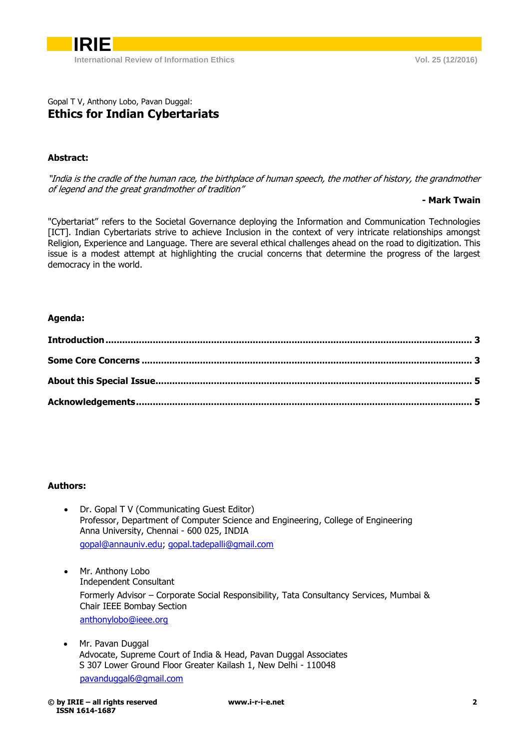## Gopal T V, Anthony Lobo, Pavan Duggal: **Ethics for Indian Cybertariats**

## **Abstract:**

"India is the cradle of the human race, the birthplace of human speech, the mother of history, the grandmother of legend and the great grandmother of tradition"

## **- Mark Twain**

"Cybertariat" refers to the Societal Governance deploying the Information and Communication Technologies [ICT]. Indian Cybertariats strive to achieve Inclusion in the context of very intricate relationships amongst Religion, Experience and Language. There are several ethical challenges ahead on the road to digitization. This issue is a modest attempt at highlighting the crucial concerns that determine the progress of the largest democracy in the world.

## **Agenda:**

#### **Authors:**

- Dr. Gopal T V (Communicating Guest Editor) Professor, Department of Computer Science and Engineering, College of Engineering Anna University, Chennai - 600 025, INDIA [gopal@annauniv.edu;](mailto:gopal@annauniv.edu) [gopal.tadepalli@gmail.com](mailto:gopal.tadepalli@gmail.com)
- Mr. Anthony Lobo Independent Consultant Formerly Advisor – Corporate Social Responsibility, Tata Consultancy Services, Mumbai & Chair IEEE Bombay Section [anthonylobo@ieee.org](mailto:anthonylobo@ieee.org)
- Mr. Pavan Duggal Advocate, Supreme Court of India & Head, Pavan Duggal Associates S 307 Lower Ground Floor Greater Kailash 1, New Delhi - 110048 [pavanduggal6@gmail.com](mailto:pavanduggal6@gmail.com)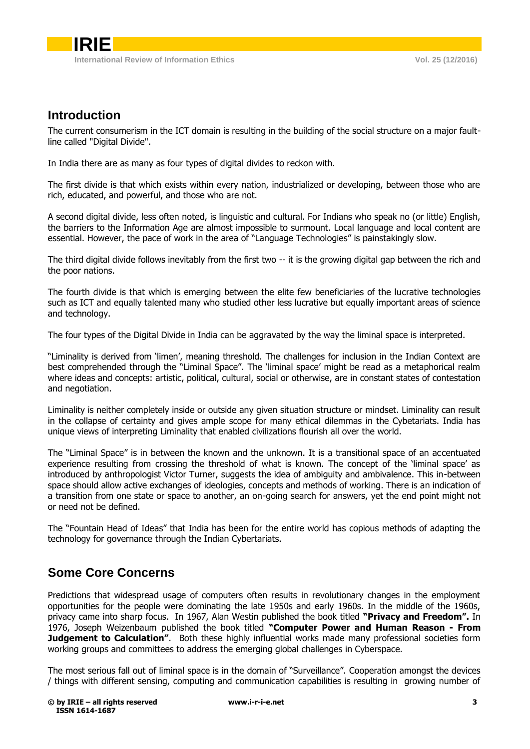# <span id="page-1-0"></span>**Introduction**

The current consumerism in the ICT domain is resulting in the building of the social structure on a major faultline called "Digital Divide".

In India there are as many as four types of digital divides to reckon with.

The first divide is that which exists within every nation, industrialized or developing, between those who are rich, educated, and powerful, and those who are not.

A second digital divide, less often noted, is linguistic and cultural. For Indians who speak no (or little) English, the barriers to the Information Age are almost impossible to surmount. Local language and local content are essential. However, the pace of work in the area of "Language Technologies" is painstakingly slow.

The third digital divide follows inevitably from the first two -- it is the growing digital gap between the rich and the poor nations.

The fourth divide is that which is emerging between the elite few beneficiaries of the lucrative technologies such as ICT and equally talented many who studied other less lucrative but equally important areas of science and technology.

The four types of the Digital Divide in India can be aggravated by the way the liminal space is interpreted.

"Liminality is derived from 'limen', meaning threshold. The challenges for inclusion in the Indian Context are best comprehended through the "Liminal Space". The 'liminal space' might be read as a metaphorical realm where ideas and concepts: artistic, political, cultural, social or otherwise, are in constant states of contestation and negotiation.

Liminality is neither completely inside or outside any given situation structure or mindset. Liminality can result in the collapse of certainty and gives ample scope for many ethical dilemmas in the Cybetariats. India has unique views of interpreting Liminality that enabled civilizations flourish all over the world.

The "Liminal Space" is in between the known and the unknown. It is a transitional space of an accentuated experience resulting from crossing the threshold of what is known. The concept of the 'liminal space' as introduced by anthropologist Victor Turner, suggests the idea of ambiguity and ambivalence. This in-between space should allow active exchanges of ideologies, concepts and methods of working. There is an indication of a transition from one state or space to another, an on-going search for answers, yet the end point might not or need not be defined.

<span id="page-1-1"></span>The "Fountain Head of Ideas" that India has been for the entire world has copious methods of adapting the technology for governance through the Indian Cybertariats.

# **Some Core Concerns**

Predictions that widespread usage of computers often results in revolutionary changes in the employment opportunities for the people were dominating the late 1950s and early 1960s. In the middle of the 1960s, privacy came into sharp focus. In 1967, Alan Westin published the book titled **"Privacy and Freedom".** In 1976, Joseph Weizenbaum published the book titled **"Computer Power and Human Reason - From Judgement to Calculation".** Both these highly influential works made many professional societies form working groups and committees to address the emerging global challenges in Cyberspace.

The most serious fall out of liminal space is in the domain of "Surveillance". Cooperation amongst the devices / things with different sensing, computing and communication capabilities is resulting in growing number of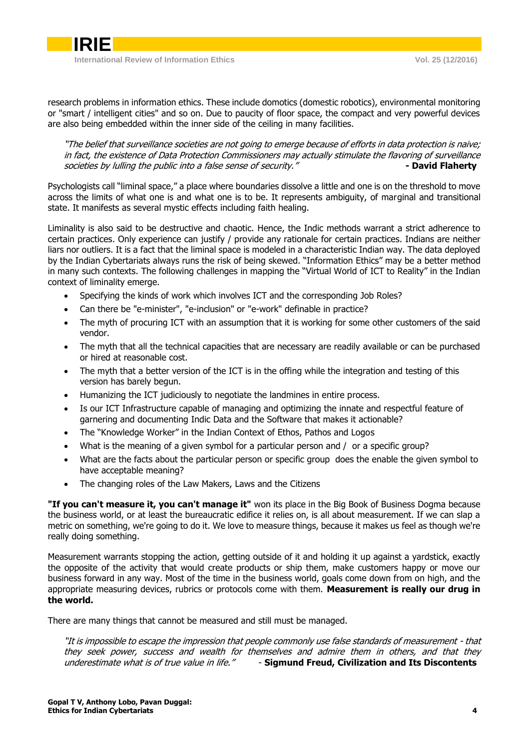

research problems in information ethics. These include domotics (domestic robotics), environmental monitoring or "smart / intelligent cities" and so on. Due to paucity of floor space, the compact and very powerful devices are also being embedded within the inner side of the ceiling in many facilities.

"The belief that surveillance societies are not going to emerge because of efforts in data protection is naive; in fact, the existence of Data Protection Commissioners may actually stimulate the flavoring of surveillance societies by *lulling the public into a false sense of security."* **- <b>A Example 1 David Flaherty** 

Psychologists call "liminal space," a place where boundaries dissolve a little and one is on the threshold to move across the limits of what one is and what one is to be. It represents ambiguity, of marginal and transitional state. It manifests as several mystic effects including faith healing.

Liminality is also said to be destructive and chaotic. Hence, the Indic methods warrant a strict adherence to certain practices. Only experience can justify / provide any rationale for certain practices. Indians are neither liars nor outliers. It is a fact that the liminal space is modeled in a characteristic Indian way. The data deployed by the Indian Cybertariats always runs the risk of being skewed. "Information Ethics" may be a better method in many such contexts. The following challenges in mapping the "Virtual World of ICT to Reality" in the Indian context of liminality emerge.

- Specifying the kinds of work which involves ICT and the corresponding Job Roles?
- Can there be "e-minister", "e-inclusion" or "e-work" definable in practice?
- The myth of procuring ICT with an assumption that it is working for some other customers of the said vendor.
- The myth that all the technical capacities that are necessary are readily available or can be purchased or hired at reasonable cost.
- The myth that a better version of the ICT is in the offing while the integration and testing of this version has barely begun.
- Humanizing the ICT judiciously to negotiate the landmines in entire process.
- Is our ICT Infrastructure capable of managing and optimizing the innate and respectful feature of garnering and documenting Indic Data and the Software that makes it actionable?
- The "Knowledge Worker" in the Indian Context of Ethos, Pathos and Logos
- What is the meaning of a given symbol for a particular person and / or a specific group?
- What are the facts about the particular person or specific group does the enable the given symbol to have acceptable meaning?
- The changing roles of the Law Makers, Laws and the Citizens

**"If you can't measure it, you can't manage it"** won its place in the Big Book of Business Dogma because the business world, or at least the bureaucratic edifice it relies on, is all about measurement. If we can slap a metric on something, we're going to do it. We love to measure things, because it makes us feel as though we're really doing something.

Measurement warrants stopping the action, getting outside of it and holding it up against a yardstick, exactly the opposite of the activity that would create products or ship them, make customers happy or move our business forward in any way. Most of the time in the business world, goals come down from on high, and the appropriate measuring devices, rubrics or protocols come with them. **Measurement is really our drug in the world.**

There are many things that cannot be measured and still must be managed.

"It is impossible to escape the impression that people commonly use false standards of measurement - that they seek power, success and wealth for themselves and admire them in others, and that they underestimate what is of true value in life." - **Sigmund Freud, Civilization and Its Discontents**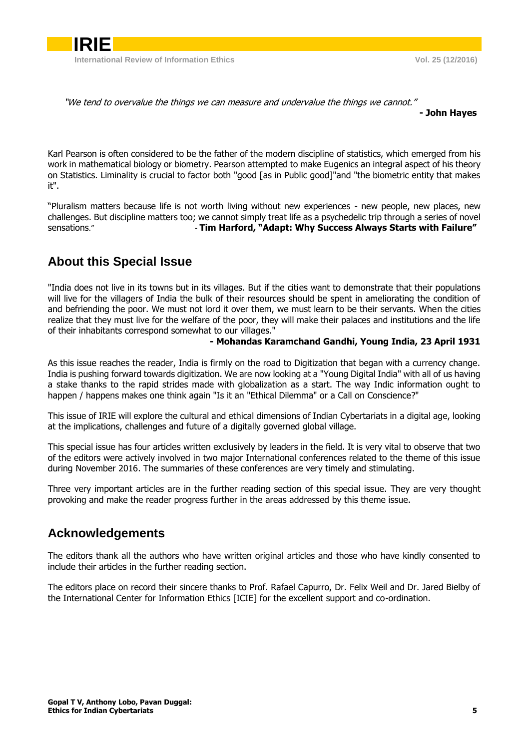

"We tend to overvalue the things we can measure and undervalue the things we cannot."

#### **- John Hayes**

Karl Pearson is often considered to be the father of the modern discipline of statistics, which emerged from his work in mathematical biology or biometry. Pearson attempted to make Eugenics an integral aspect of his theory on Statistics. Liminality is crucial to factor both "good [as in Public good]"and "the biometric entity that makes it".

"Pluralism matters because life is not worth living without new experiences - new people, new places, new challenges. But discipline matters too; we cannot simply treat life as a psychedelic trip through a series of novel sensations." **Tim Harford, "Adapt: Why Success Always Starts with Failure"** 

# <span id="page-3-0"></span>**About this Special Issue**

"India does not live in its towns but in its villages. But if the cities want to demonstrate that their populations will live for the villagers of India the bulk of their resources should be spent in ameliorating the condition of and befriending the poor. We must not lord it over them, we must learn to be their servants. When the cities realize that they must live for the welfare of the poor, they will make their palaces and institutions and the life of their inhabitants correspond somewhat to our villages."

### **- Mohandas Karamchand Gandhi, Young India, 23 April 1931**

As this issue reaches the reader, India is firmly on the road to Digitization that began with a currency change. India is pushing forward towards digitization. We are now looking at a "Young Digital India" with all of us having a stake thanks to the rapid strides made with globalization as a start. The way Indic information ought to happen / happens makes one think again "Is it an "Ethical Dilemma" or a Call on Conscience?"

This issue of IRIE will explore the cultural and ethical dimensions of Indian Cybertariats in a digital age, looking at the implications, challenges and future of a digitally governed global village.

This special issue has four articles written exclusively by leaders in the field. It is very vital to observe that two of the editors were actively involved in two major International conferences related to the theme of this issue during November 2016. The summaries of these conferences are very timely and stimulating.

<span id="page-3-1"></span>Three very important articles are in the further reading section of this special issue. They are very thought provoking and make the reader progress further in the areas addressed by this theme issue.

## **Acknowledgements**

The editors thank all the authors who have written original articles and those who have kindly consented to include their articles in the further reading section.

The editors place on record their sincere thanks to Prof. Rafael Capurro, Dr. Felix Weil and Dr. Jared Bielby of the International Center for Information Ethics [ICIE] for the excellent support and co-ordination.